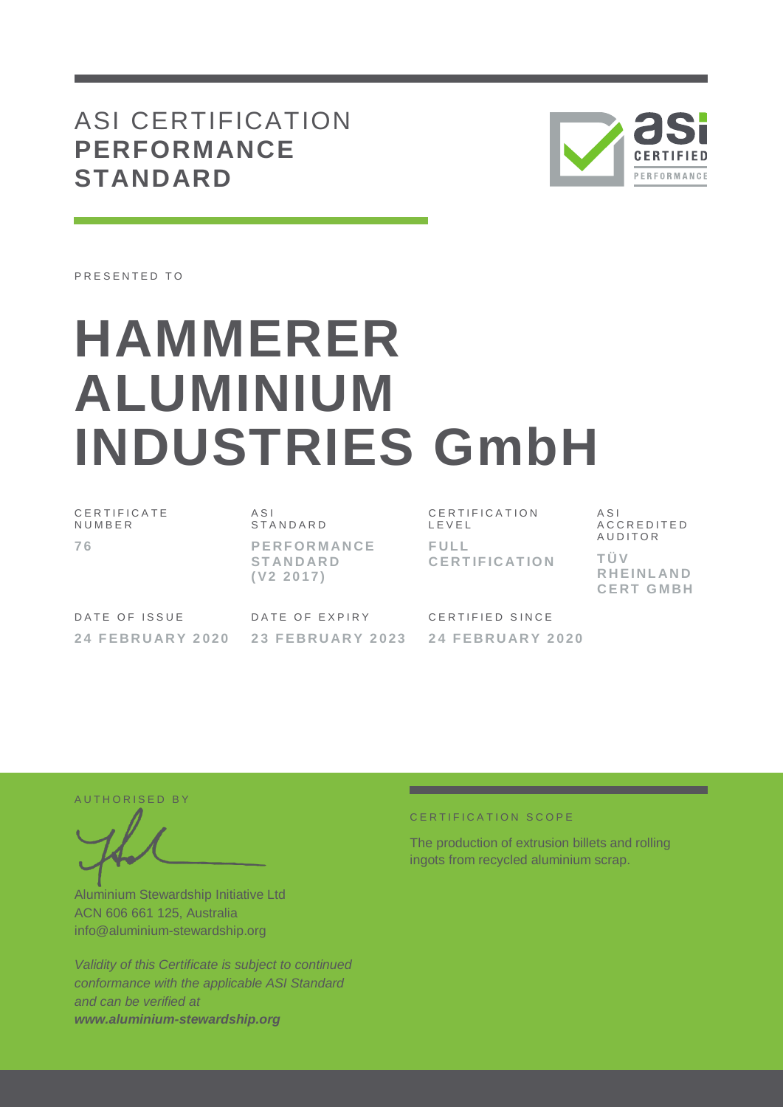# ASI CERTIFICATION **PERFORMANCE STANDARD**



PRESENTED TO

# **HAMMERER ALUMINIUM INDUSTRIES GmbH**

C E R T I F I C A T E **NUMBER 7 6**

A S I S T A N D A R D **P E RF O R M AN C E ST AN D AR D ( V2 2 0 1 7 )**

C E R T I F I C A T I O N L E V E L **F UL L C E RT IF I C AT IO N**

A S I A C C R E D I T E D **AUDITOR T Ü V R H E I NL AN D C E RT G M BH**

DATE OF ISSUE **2 4 F E BR U AR Y 2020** DATE OF EXPIRY **2 3 F E BR U AR Y 2 0 2 3** CERTIFIED SINCE **2 4 F E BR U AR Y 2020**

AUTHORISED BY

Aluminium Stewardship Initiative Ltd ACN 606 661 125, Australia info@aluminium-stewardship.org

*Validity of this Certificate is subject to continued conformance with the applicable ASI Standard and can be verified at www.aluminium-stewardship.org*

#### CERTIFICATION SCOPE

The production of extrusion billets and rolling ingots from recycled aluminium scrap.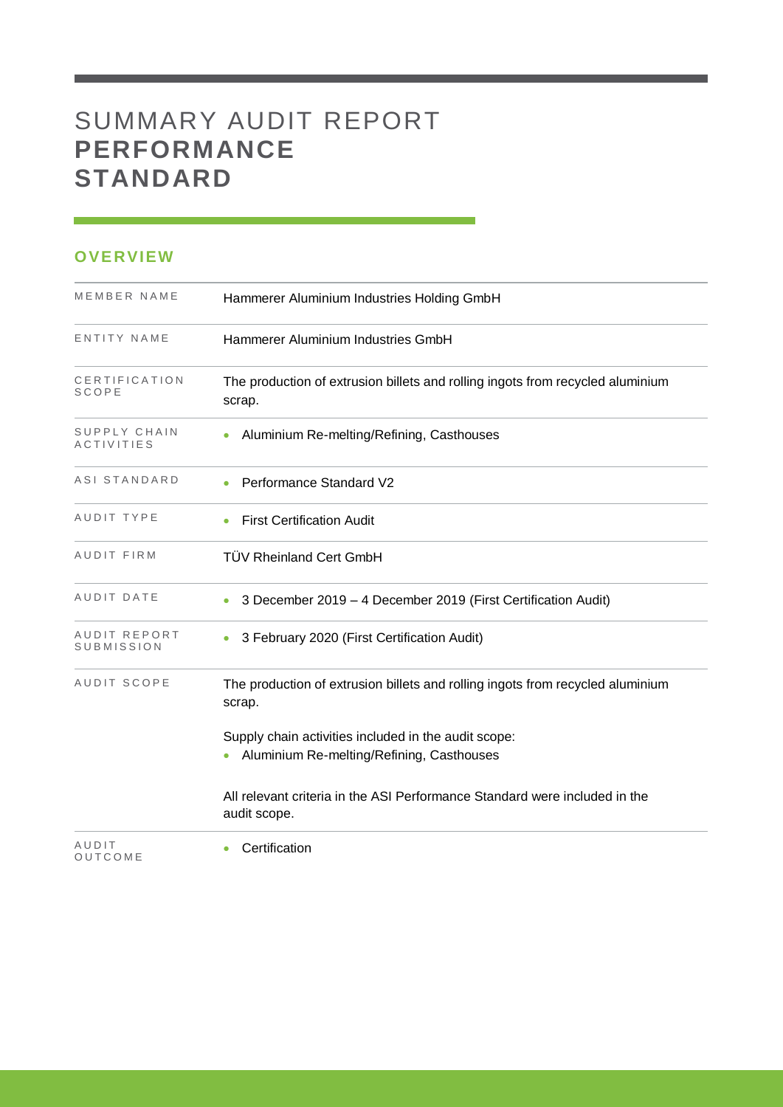# SUMMARY AUDIT REPORT **PERFORMANCE STANDARD**

## **OVERVIEW**

| MEMBER NAME                       | Hammerer Aluminium Industries Holding GmbH                                                        |  |  |
|-----------------------------------|---------------------------------------------------------------------------------------------------|--|--|
| ENTITY NAME                       | Hammerer Aluminium Industries GmbH                                                                |  |  |
| CERTIFICATION<br><b>SCOPE</b>     | The production of extrusion billets and rolling ingots from recycled aluminium<br>scrap.          |  |  |
| SUPPLY CHAIN<br><b>ACTIVITIES</b> | Aluminium Re-melting/Refining, Casthouses                                                         |  |  |
| ASI STANDARD                      | Performance Standard V2                                                                           |  |  |
| AUDIT TYPE                        | <b>First Certification Audit</b>                                                                  |  |  |
| AUDIT FIRM                        | <b>TÜV Rheinland Cert GmbH</b>                                                                    |  |  |
| AUDIT DATE                        | 3 December 2019 - 4 December 2019 (First Certification Audit)                                     |  |  |
| AUDIT REPORT<br>SUBMISSION        | 3 February 2020 (First Certification Audit)                                                       |  |  |
| AUDIT SCOPE                       | The production of extrusion billets and rolling ingots from recycled aluminium<br>scrap.          |  |  |
|                                   | Supply chain activities included in the audit scope:<br>Aluminium Re-melting/Refining, Casthouses |  |  |
|                                   | All relevant criteria in the ASI Performance Standard were included in the<br>audit scope.        |  |  |
| AUDIT<br>OUTCOME                  | Certification                                                                                     |  |  |

and the control of the control of the control of the control of the control of the control of the control of the control of the control of the control of the control of the control of the control of the control of the cont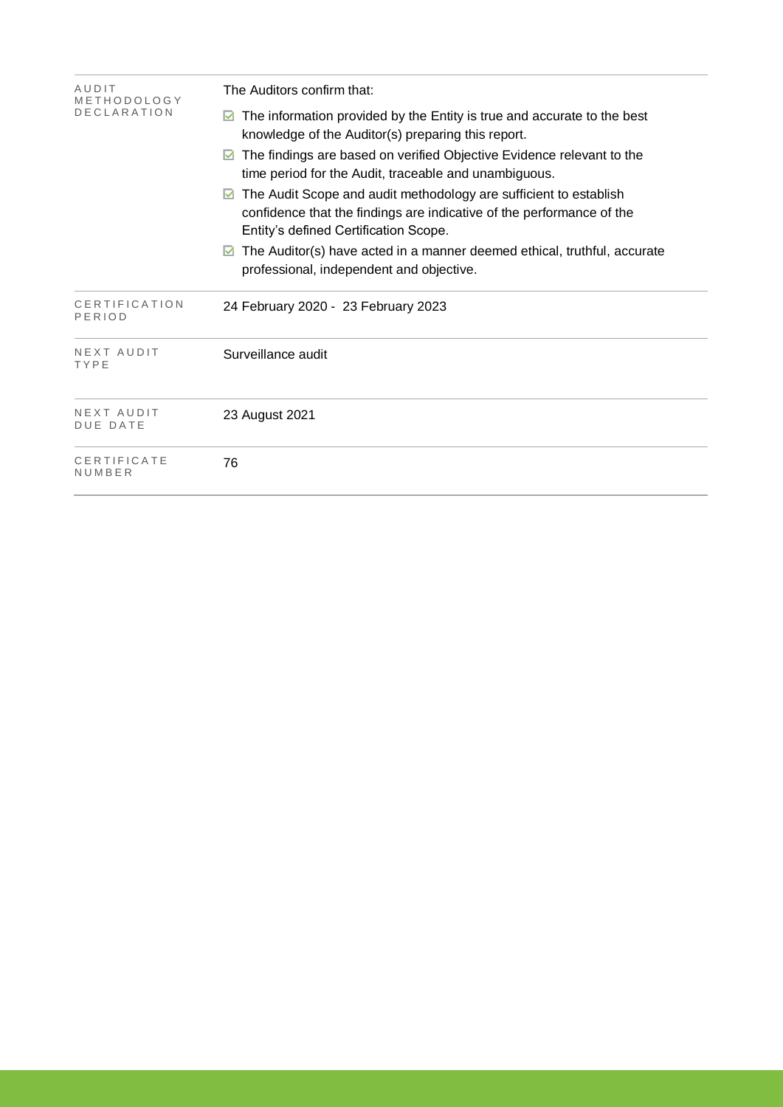| AUDIT<br>METHODOLOGY          | The Auditors confirm that:                                                                                                                                                               |  |  |  |  |
|-------------------------------|------------------------------------------------------------------------------------------------------------------------------------------------------------------------------------------|--|--|--|--|
| <b>DECLARATION</b>            | The information provided by the Entity is true and accurate to the best<br>⊻<br>knowledge of the Auditor(s) preparing this report.                                                       |  |  |  |  |
|                               | The findings are based on verified Objective Evidence relevant to the<br>M<br>time period for the Audit, traceable and unambiguous.                                                      |  |  |  |  |
|                               | The Audit Scope and audit methodology are sufficient to establish<br>M<br>confidence that the findings are indicative of the performance of the<br>Entity's defined Certification Scope. |  |  |  |  |
|                               | The Auditor(s) have acted in a manner deemed ethical, truthful, accurate<br>professional, independent and objective.                                                                     |  |  |  |  |
| CERTIFICATION<br>PERIOD       | 24 February 2020 - 23 February 2023                                                                                                                                                      |  |  |  |  |
| NEXT AUDIT<br>TYPE            | Surveillance audit                                                                                                                                                                       |  |  |  |  |
| NEXT AUDIT<br><b>DUE DATE</b> | 23 August 2021                                                                                                                                                                           |  |  |  |  |
| CERTIFICATE<br>NUMBER         | 76                                                                                                                                                                                       |  |  |  |  |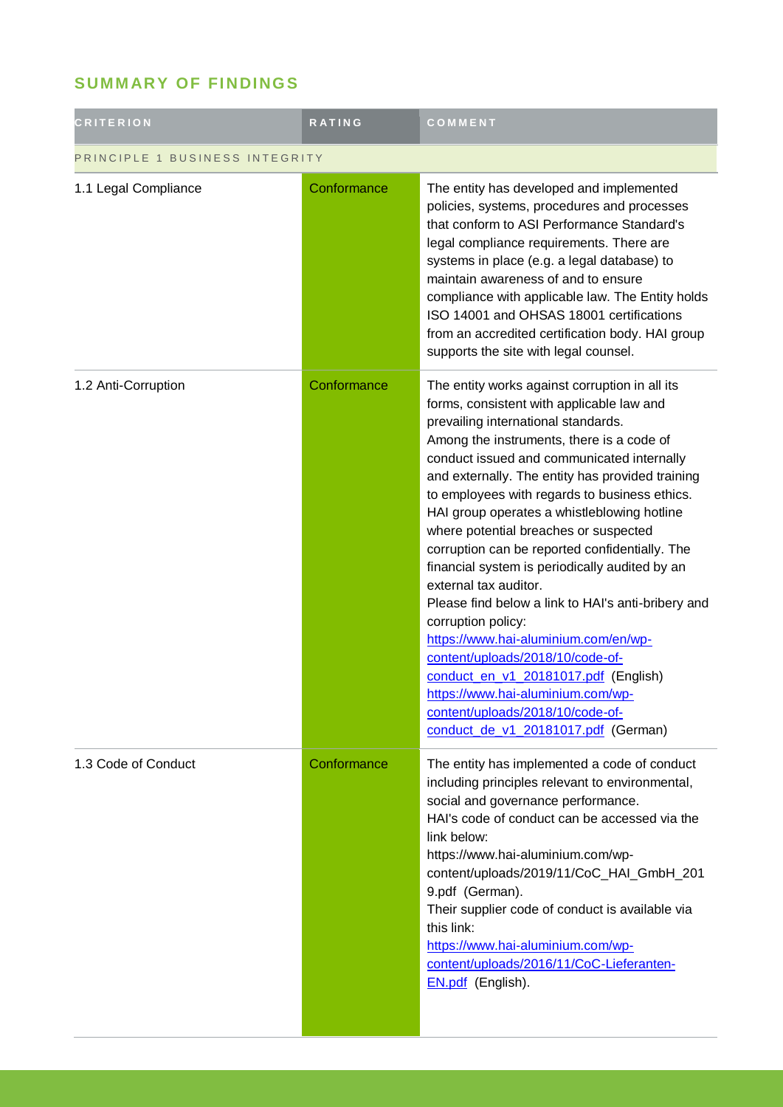## **SUMM ARY OF FINDINGS**

| <b>CRITERION</b>               | RATING      | COMMENT                                                                                                                                                                                                                                                                                                                                                                                                                                                                                                                                                                                                                                                                                                                                                                                                                                                                 |  |
|--------------------------------|-------------|-------------------------------------------------------------------------------------------------------------------------------------------------------------------------------------------------------------------------------------------------------------------------------------------------------------------------------------------------------------------------------------------------------------------------------------------------------------------------------------------------------------------------------------------------------------------------------------------------------------------------------------------------------------------------------------------------------------------------------------------------------------------------------------------------------------------------------------------------------------------------|--|
| PRINCIPLE 1 BUSINESS INTEGRITY |             |                                                                                                                                                                                                                                                                                                                                                                                                                                                                                                                                                                                                                                                                                                                                                                                                                                                                         |  |
| 1.1 Legal Compliance           | Conformance | The entity has developed and implemented<br>policies, systems, procedures and processes<br>that conform to ASI Performance Standard's<br>legal compliance requirements. There are<br>systems in place (e.g. a legal database) to<br>maintain awareness of and to ensure<br>compliance with applicable law. The Entity holds<br>ISO 14001 and OHSAS 18001 certifications<br>from an accredited certification body. HAI group<br>supports the site with legal counsel.                                                                                                                                                                                                                                                                                                                                                                                                    |  |
| 1.2 Anti-Corruption            | Conformance | The entity works against corruption in all its<br>forms, consistent with applicable law and<br>prevailing international standards.<br>Among the instruments, there is a code of<br>conduct issued and communicated internally<br>and externally. The entity has provided training<br>to employees with regards to business ethics.<br>HAI group operates a whistleblowing hotline<br>where potential breaches or suspected<br>corruption can be reported confidentially. The<br>financial system is periodically audited by an<br>external tax auditor.<br>Please find below a link to HAI's anti-bribery and<br>corruption policy:<br>https://www.hai-aluminium.com/en/wp-<br>content/uploads/2018/10/code-of-<br>conduct en v1 20181017.pdf (English)<br>https://www.hai-aluminium.com/wp-<br>content/uploads/2018/10/code-of-<br>conduct de v1 20181017.pdf (German) |  |
| 1.3 Code of Conduct            | Conformance | The entity has implemented a code of conduct<br>including principles relevant to environmental,<br>social and governance performance.<br>HAI's code of conduct can be accessed via the<br>link below:<br>https://www.hai-aluminium.com/wp-<br>content/uploads/2019/11/CoC_HAI_GmbH_201<br>9.pdf (German).<br>Their supplier code of conduct is available via<br>this link:<br>https://www.hai-aluminium.com/wp-<br>content/uploads/2016/11/CoC-Lieferanten-<br>EN.pdf (English).                                                                                                                                                                                                                                                                                                                                                                                        |  |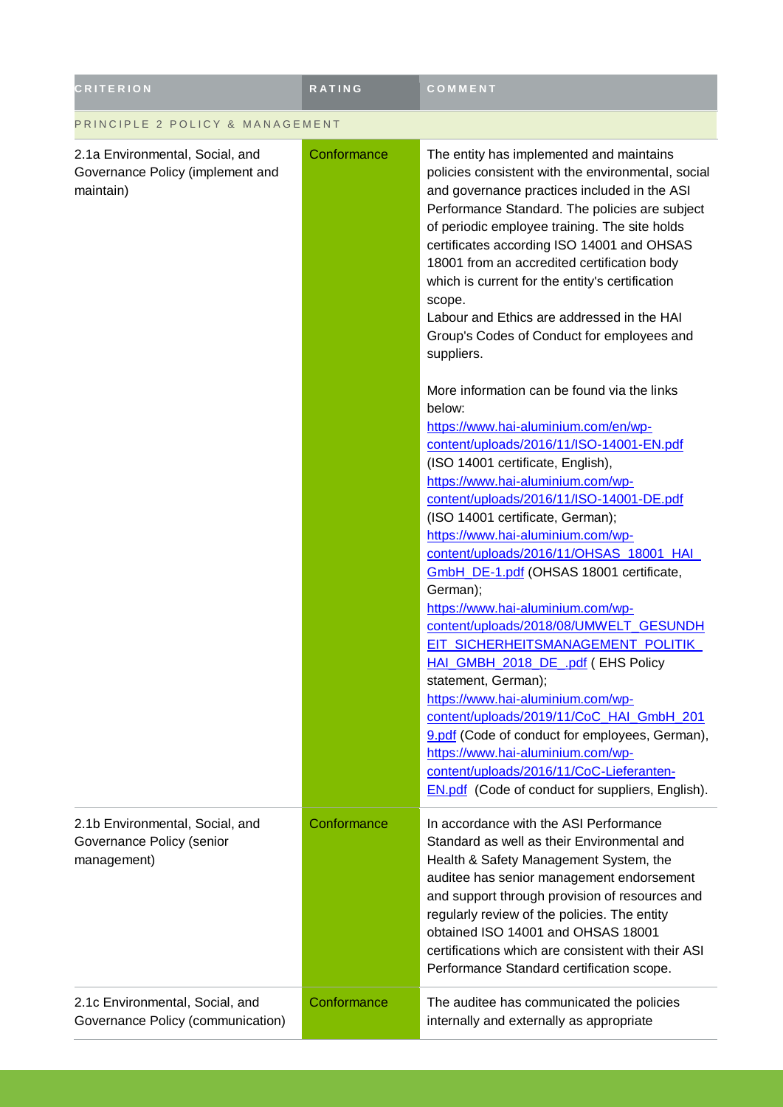| <b>CRITERION</b>                                                                 | <b>RATING</b> | COMMENT                                                                                                                                                                                                                                                                                                                                                                                                                                                                                                                                                                                                                                                                                                                                                                                                                                                                                                   |  |
|----------------------------------------------------------------------------------|---------------|-----------------------------------------------------------------------------------------------------------------------------------------------------------------------------------------------------------------------------------------------------------------------------------------------------------------------------------------------------------------------------------------------------------------------------------------------------------------------------------------------------------------------------------------------------------------------------------------------------------------------------------------------------------------------------------------------------------------------------------------------------------------------------------------------------------------------------------------------------------------------------------------------------------|--|
| PRINCIPLE 2 POLICY & MANAGEMENT                                                  |               |                                                                                                                                                                                                                                                                                                                                                                                                                                                                                                                                                                                                                                                                                                                                                                                                                                                                                                           |  |
| 2.1a Environmental, Social, and<br>Governance Policy (implement and<br>maintain) | Conformance   | The entity has implemented and maintains<br>policies consistent with the environmental, social<br>and governance practices included in the ASI<br>Performance Standard. The policies are subject<br>of periodic employee training. The site holds<br>certificates according ISO 14001 and OHSAS<br>18001 from an accredited certification body<br>which is current for the entity's certification<br>scope.<br>Labour and Ethics are addressed in the HAI<br>Group's Codes of Conduct for employees and<br>suppliers.                                                                                                                                                                                                                                                                                                                                                                                     |  |
|                                                                                  |               | More information can be found via the links<br>below:<br>https://www.hai-aluminium.com/en/wp-<br>content/uploads/2016/11/ISO-14001-EN.pdf<br>(ISO 14001 certificate, English),<br>https://www.hai-aluminium.com/wp-<br>content/uploads/2016/11/ISO-14001-DE.pdf<br>(ISO 14001 certificate, German);<br>https://www.hai-aluminium.com/wp-<br>content/uploads/2016/11/OHSAS 18001 HAI<br>GmbH DE-1.pdf (OHSAS 18001 certificate,<br>German);<br>https://www.hai-aluminium.com/wp-<br>content/uploads/2018/08/UMWELT_GESUNDH<br>EIT SICHERHEITSMANAGEMENT POLITIK<br>HAI GMBH 2018 DE .pdf (EHS Policy<br>statement, German);<br>https://www.hai-aluminium.com/wp-<br>content/uploads/2019/11/CoC_HAI_GmbH_201<br>9.pdf (Code of conduct for employees, German),<br>https://www.hai-aluminium.com/wp-<br>content/uploads/2016/11/CoC-Lieferanten-<br><b>EN.pdf</b> (Code of conduct for suppliers, English). |  |
| 2.1b Environmental, Social, and<br>Governance Policy (senior<br>management)      | Conformance   | In accordance with the ASI Performance<br>Standard as well as their Environmental and<br>Health & Safety Management System, the<br>auditee has senior management endorsement<br>and support through provision of resources and<br>regularly review of the policies. The entity<br>obtained ISO 14001 and OHSAS 18001<br>certifications which are consistent with their ASI<br>Performance Standard certification scope.                                                                                                                                                                                                                                                                                                                                                                                                                                                                                   |  |
| 2.1c Environmental, Social, and<br>Governance Policy (communication)             | Conformance   | The auditee has communicated the policies<br>internally and externally as appropriate                                                                                                                                                                                                                                                                                                                                                                                                                                                                                                                                                                                                                                                                                                                                                                                                                     |  |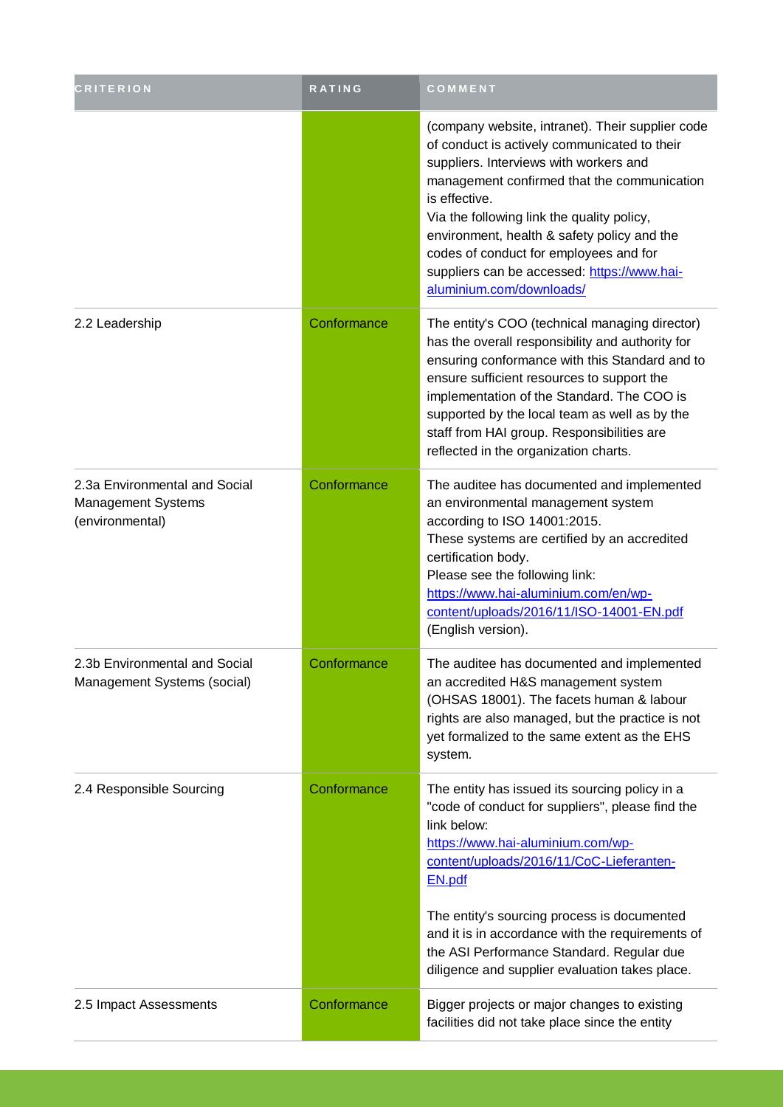| <b>CRITERION</b>                                                              | <b>RATING</b> | COMMENT                                                                                                                                                                                                                                                                                                                                                                                                                      |
|-------------------------------------------------------------------------------|---------------|------------------------------------------------------------------------------------------------------------------------------------------------------------------------------------------------------------------------------------------------------------------------------------------------------------------------------------------------------------------------------------------------------------------------------|
|                                                                               |               | (company website, intranet). Their supplier code<br>of conduct is actively communicated to their<br>suppliers. Interviews with workers and<br>management confirmed that the communication<br>is effective.<br>Via the following link the quality policy,<br>environment, health & safety policy and the<br>codes of conduct for employees and for<br>suppliers can be accessed: https://www.hai-<br>aluminium.com/downloads/ |
| 2.2 Leadership                                                                | Conformance   | The entity's COO (technical managing director)<br>has the overall responsibility and authority for<br>ensuring conformance with this Standard and to<br>ensure sufficient resources to support the<br>implementation of the Standard. The COO is<br>supported by the local team as well as by the<br>staff from HAI group. Responsibilities are<br>reflected in the organization charts.                                     |
| 2.3a Environmental and Social<br><b>Management Systems</b><br>(environmental) | Conformance   | The auditee has documented and implemented<br>an environmental management system<br>according to ISO 14001:2015.<br>These systems are certified by an accredited<br>certification body.<br>Please see the following link:<br>https://www.hai-aluminium.com/en/wp-<br>content/uploads/2016/11/ISO-14001-EN.pdf<br>(English version).                                                                                          |
| 2.3b Environmental and Social<br>Management Systems (social)                  | Conformance   | The auditee has documented and implemented<br>an accredited H&S management system<br>(OHSAS 18001). The facets human & labour<br>rights are also managed, but the practice is not<br>yet formalized to the same extent as the EHS<br>system.                                                                                                                                                                                 |
| 2.4 Responsible Sourcing                                                      | Conformance   | The entity has issued its sourcing policy in a<br>"code of conduct for suppliers", please find the<br>link below:<br>https://www.hai-aluminium.com/wp-<br>content/uploads/2016/11/CoC-Lieferanten-<br>EN.pdf                                                                                                                                                                                                                 |
|                                                                               |               | The entity's sourcing process is documented<br>and it is in accordance with the requirements of<br>the ASI Performance Standard. Regular due<br>diligence and supplier evaluation takes place.                                                                                                                                                                                                                               |
| 2.5 Impact Assessments                                                        | Conformance   | Bigger projects or major changes to existing<br>facilities did not take place since the entity                                                                                                                                                                                                                                                                                                                               |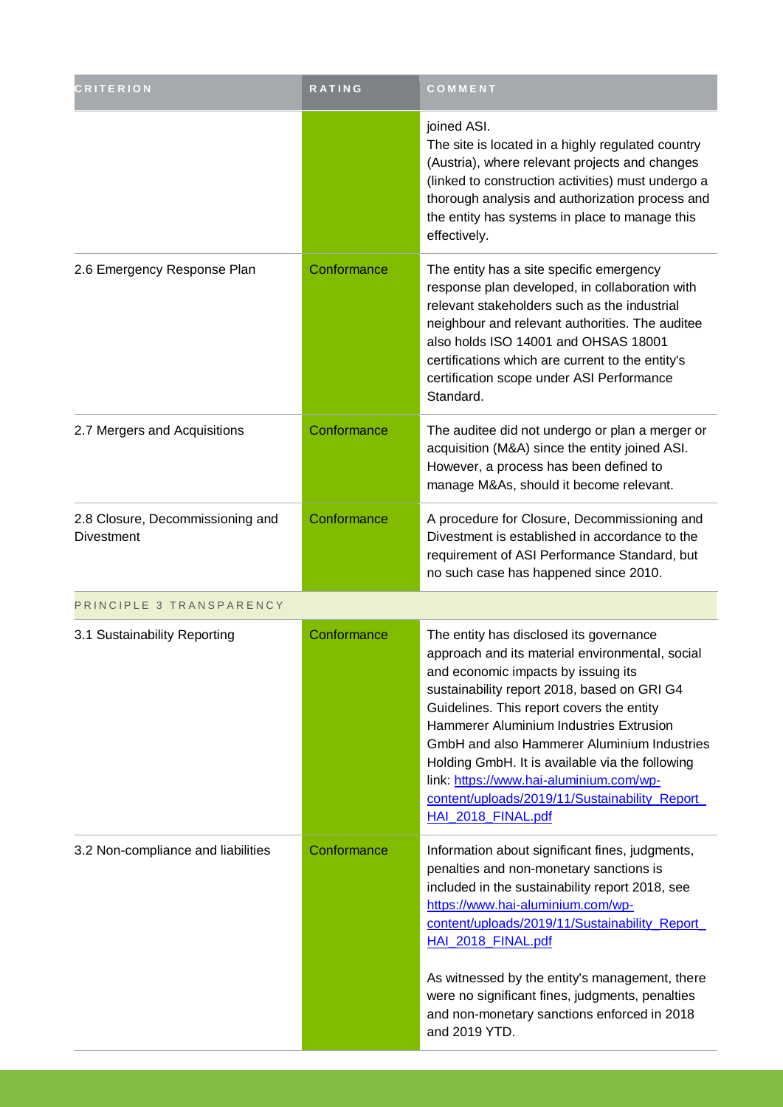| <b>CRITERION</b>                                      | RATING      | COMMENT                                                                                                                                                                                                                                                                                                                                                                                                                                                                                      |
|-------------------------------------------------------|-------------|----------------------------------------------------------------------------------------------------------------------------------------------------------------------------------------------------------------------------------------------------------------------------------------------------------------------------------------------------------------------------------------------------------------------------------------------------------------------------------------------|
|                                                       |             | joined ASI.<br>The site is located in a highly regulated country<br>(Austria), where relevant projects and changes<br>(linked to construction activities) must undergo a<br>thorough analysis and authorization process and<br>the entity has systems in place to manage this<br>effectively.                                                                                                                                                                                                |
| 2.6 Emergency Response Plan                           | Conformance | The entity has a site specific emergency<br>response plan developed, in collaboration with<br>relevant stakeholders such as the industrial<br>neighbour and relevant authorities. The auditee<br>also holds ISO 14001 and OHSAS 18001<br>certifications which are current to the entity's<br>certification scope under ASI Performance<br>Standard.                                                                                                                                          |
| 2.7 Mergers and Acquisitions                          | Conformance | The auditee did not undergo or plan a merger or<br>acquisition (M&A) since the entity joined ASI.<br>However, a process has been defined to<br>manage M&As, should it become relevant.                                                                                                                                                                                                                                                                                                       |
| 2.8 Closure, Decommissioning and<br><b>Divestment</b> | Conformance | A procedure for Closure, Decommissioning and<br>Divestment is established in accordance to the<br>requirement of ASI Performance Standard, but<br>no such case has happened since 2010.                                                                                                                                                                                                                                                                                                      |
| PRINCIPLE 3 TRANSPARENCY                              |             |                                                                                                                                                                                                                                                                                                                                                                                                                                                                                              |
| 3.1 Sustainability Reporting                          | Conformance | The entity has disclosed its governance<br>approach and its material environmental, social<br>and economic impacts by issuing its<br>sustainability report 2018, based on GRI G4<br>Guidelines. This report covers the entity<br>Hammerer Aluminium Industries Extrusion<br>GmbH and also Hammerer Aluminium Industries<br>Holding GmbH. It is available via the following<br>link: https://www.hai-aluminium.com/wp-<br>content/uploads/2019/11/Sustainability Report<br>HAI 2018 FINAL.pdf |
| 3.2 Non-compliance and liabilities                    | Conformance | Information about significant fines, judgments,<br>penalties and non-monetary sanctions is<br>included in the sustainability report 2018, see<br>https://www.hai-aluminium.com/wp-<br>content/uploads/2019/11/Sustainability Report<br>HAI 2018 FINAL.pdf<br>As witnessed by the entity's management, there<br>were no significant fines, judgments, penalties<br>and non-monetary sanctions enforced in 2018<br>and 2019 YTD.                                                               |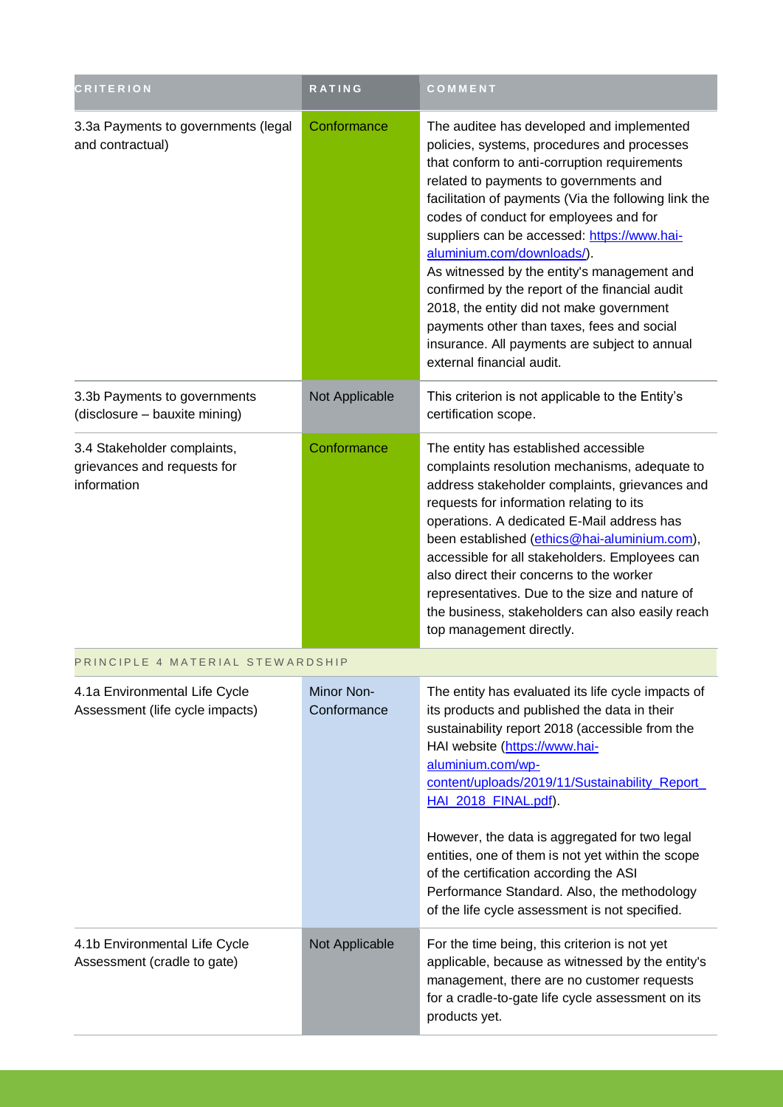| <b>CRITERION</b>                                                          | <b>RATING</b>             | COMMENT                                                                                                                                                                                                                                                                                                                                                                                                                                                                                                                                                                                                                                    |
|---------------------------------------------------------------------------|---------------------------|--------------------------------------------------------------------------------------------------------------------------------------------------------------------------------------------------------------------------------------------------------------------------------------------------------------------------------------------------------------------------------------------------------------------------------------------------------------------------------------------------------------------------------------------------------------------------------------------------------------------------------------------|
| 3.3a Payments to governments (legal<br>and contractual)                   | Conformance               | The auditee has developed and implemented<br>policies, systems, procedures and processes<br>that conform to anti-corruption requirements<br>related to payments to governments and<br>facilitation of payments (Via the following link the<br>codes of conduct for employees and for<br>suppliers can be accessed: https://www.hai-<br>aluminium.com/downloads/).<br>As witnessed by the entity's management and<br>confirmed by the report of the financial audit<br>2018, the entity did not make government<br>payments other than taxes, fees and social<br>insurance. All payments are subject to annual<br>external financial audit. |
| 3.3b Payments to governments<br>(disclosure - bauxite mining)             | Not Applicable            | This criterion is not applicable to the Entity's<br>certification scope.                                                                                                                                                                                                                                                                                                                                                                                                                                                                                                                                                                   |
| 3.4 Stakeholder complaints,<br>grievances and requests for<br>information | Conformance               | The entity has established accessible<br>complaints resolution mechanisms, adequate to<br>address stakeholder complaints, grievances and<br>requests for information relating to its<br>operations. A dedicated E-Mail address has<br>been established (ethics@hai-aluminium.com),<br>accessible for all stakeholders. Employees can<br>also direct their concerns to the worker<br>representatives. Due to the size and nature of<br>the business, stakeholders can also easily reach<br>top management directly.                                                                                                                         |
| PRINCIPLE 4 MATERIAL STEWARDSHIP                                          |                           |                                                                                                                                                                                                                                                                                                                                                                                                                                                                                                                                                                                                                                            |
| 4.1a Environmental Life Cycle<br>Assessment (life cycle impacts)          | Minor Non-<br>Conformance | The entity has evaluated its life cycle impacts of<br>its products and published the data in their<br>sustainability report 2018 (accessible from the<br>HAI website (https://www.hai-<br>aluminium.com/wp-<br>content/uploads/2019/11/Sustainability Report<br>HAI 2018 FINAL.pdf).<br>However, the data is aggregated for two legal<br>entities, one of them is not yet within the scope<br>of the certification according the ASI<br>Performance Standard. Also, the methodology<br>of the life cycle assessment is not specified.                                                                                                      |
| 4.1b Environmental Life Cycle<br>Assessment (cradle to gate)              | Not Applicable            | For the time being, this criterion is not yet<br>applicable, because as witnessed by the entity's<br>management, there are no customer requests<br>for a cradle-to-gate life cycle assessment on its<br>products yet.                                                                                                                                                                                                                                                                                                                                                                                                                      |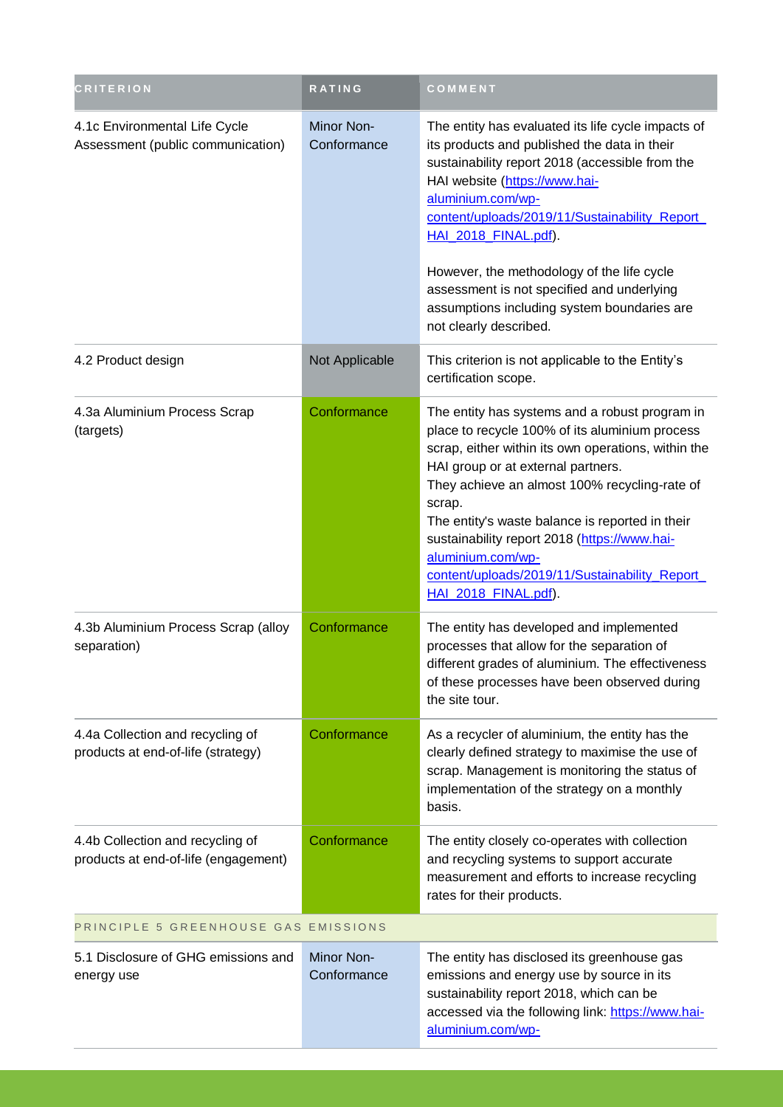| <b>CRITERION</b>                                                         | RATING                           | COMMENT                                                                                                                                                                                                                                                                                                                                                                                                                                                   |
|--------------------------------------------------------------------------|----------------------------------|-----------------------------------------------------------------------------------------------------------------------------------------------------------------------------------------------------------------------------------------------------------------------------------------------------------------------------------------------------------------------------------------------------------------------------------------------------------|
| 4.1c Environmental Life Cycle<br>Assessment (public communication)       | Minor Non-<br>Conformance        | The entity has evaluated its life cycle impacts of<br>its products and published the data in their<br>sustainability report 2018 (accessible from the<br>HAI website (https://www.hai-<br>aluminium.com/wp-<br>content/uploads/2019/11/Sustainability Report<br>HAI 2018 FINAL.pdf).<br>However, the methodology of the life cycle<br>assessment is not specified and underlying<br>assumptions including system boundaries are<br>not clearly described. |
| 4.2 Product design                                                       | Not Applicable                   | This criterion is not applicable to the Entity's<br>certification scope.                                                                                                                                                                                                                                                                                                                                                                                  |
| 4.3a Aluminium Process Scrap<br>(targets)                                | Conformance                      | The entity has systems and a robust program in<br>place to recycle 100% of its aluminium process<br>scrap, either within its own operations, within the<br>HAI group or at external partners.<br>They achieve an almost 100% recycling-rate of<br>scrap.<br>The entity's waste balance is reported in their<br>sustainability report 2018 (https://www.hai-<br>aluminium.com/wp-<br>content/uploads/2019/11/Sustainability_Report<br>HAI 2018 FINAL.pdf). |
| 4.3b Aluminium Process Scrap (alloy<br>separation)                       | Conformance                      | The entity has developed and implemented<br>processes that allow for the separation of<br>different grades of aluminium. The effectiveness<br>of these processes have been observed during<br>the site tour.                                                                                                                                                                                                                                              |
| 4.4a Collection and recycling of<br>products at end-of-life (strategy)   | Conformance                      | As a recycler of aluminium, the entity has the<br>clearly defined strategy to maximise the use of<br>scrap. Management is monitoring the status of<br>implementation of the strategy on a monthly<br>basis.                                                                                                                                                                                                                                               |
| 4.4b Collection and recycling of<br>products at end-of-life (engagement) | Conformance                      | The entity closely co-operates with collection<br>and recycling systems to support accurate<br>measurement and efforts to increase recycling<br>rates for their products.                                                                                                                                                                                                                                                                                 |
| PRINCIPLE 5 GREENHOUSE GAS EMISSIONS                                     |                                  |                                                                                                                                                                                                                                                                                                                                                                                                                                                           |
| 5.1 Disclosure of GHG emissions and<br>energy use                        | <b>Minor Non-</b><br>Conformance | The entity has disclosed its greenhouse gas<br>emissions and energy use by source in its<br>sustainability report 2018, which can be<br>accessed via the following link: https://www.hai-<br>aluminium.com/wp-                                                                                                                                                                                                                                            |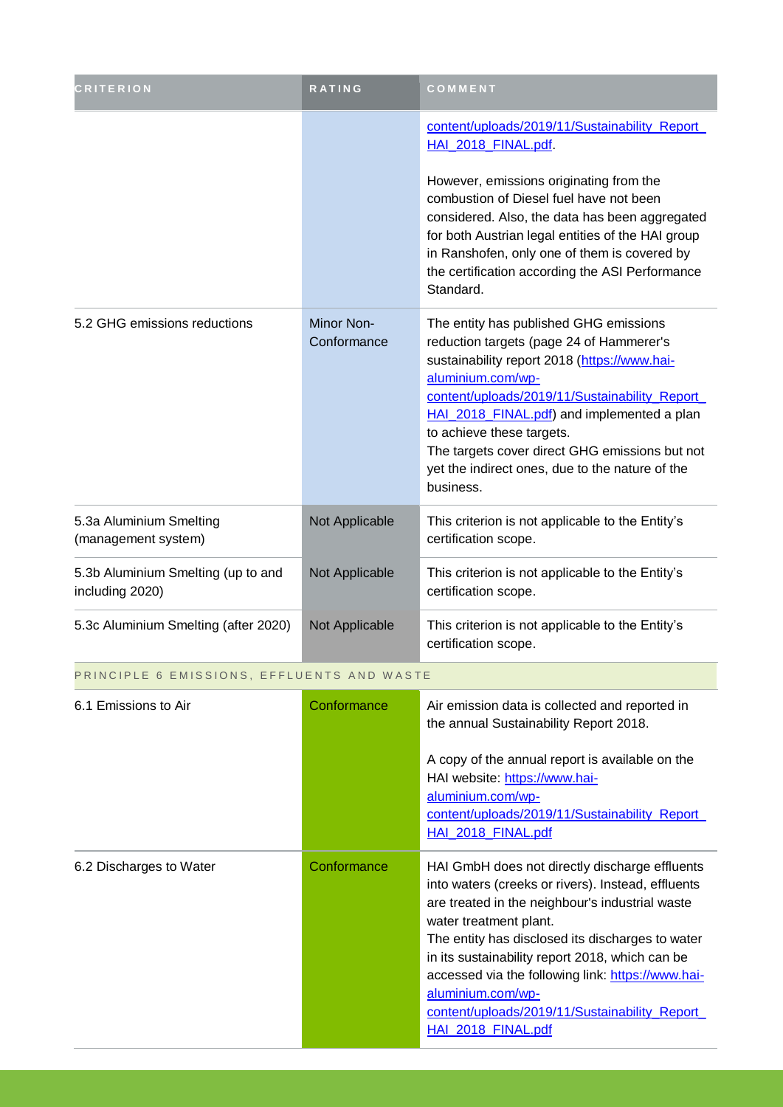| CRITERION                                             | <b>RATING</b>             | COMMENT                                                                                                                                                                                                                                                                                                                                                                                                                                   |
|-------------------------------------------------------|---------------------------|-------------------------------------------------------------------------------------------------------------------------------------------------------------------------------------------------------------------------------------------------------------------------------------------------------------------------------------------------------------------------------------------------------------------------------------------|
|                                                       |                           | content/uploads/2019/11/Sustainability Report<br>HAI_2018_FINAL.pdf                                                                                                                                                                                                                                                                                                                                                                       |
|                                                       |                           | However, emissions originating from the<br>combustion of Diesel fuel have not been<br>considered. Also, the data has been aggregated<br>for both Austrian legal entities of the HAI group<br>in Ranshofen, only one of them is covered by<br>the certification according the ASI Performance<br>Standard.                                                                                                                                 |
| 5.2 GHG emissions reductions                          | Minor Non-<br>Conformance | The entity has published GHG emissions<br>reduction targets (page 24 of Hammerer's<br>sustainability report 2018 (https://www.hai-<br>aluminium.com/wp-<br>content/uploads/2019/11/Sustainability Report<br>HAI 2018 FINAL.pdf) and implemented a plan<br>to achieve these targets.<br>The targets cover direct GHG emissions but not<br>yet the indirect ones, due to the nature of the<br>business.                                     |
| 5.3a Aluminium Smelting<br>(management system)        | Not Applicable            | This criterion is not applicable to the Entity's<br>certification scope.                                                                                                                                                                                                                                                                                                                                                                  |
| 5.3b Aluminium Smelting (up to and<br>including 2020) | Not Applicable            | This criterion is not applicable to the Entity's<br>certification scope.                                                                                                                                                                                                                                                                                                                                                                  |
| 5.3c Aluminium Smelting (after 2020)                  | Not Applicable            | This criterion is not applicable to the Entity's<br>certification scope.                                                                                                                                                                                                                                                                                                                                                                  |
| PRINCIPLE 6 EMISSIONS, EFFLUENTS AND WASTE            |                           |                                                                                                                                                                                                                                                                                                                                                                                                                                           |
| 6.1 Emissions to Air                                  | Conformance               | Air emission data is collected and reported in<br>the annual Sustainability Report 2018.                                                                                                                                                                                                                                                                                                                                                  |
|                                                       |                           | A copy of the annual report is available on the<br>HAI website: https://www.hai-<br>aluminium.com/wp-<br>content/uploads/2019/11/Sustainability Report<br>HAI 2018 FINAL.pdf                                                                                                                                                                                                                                                              |
| 6.2 Discharges to Water                               | Conformance               | HAI GmbH does not directly discharge effluents<br>into waters (creeks or rivers). Instead, effluents<br>are treated in the neighbour's industrial waste<br>water treatment plant.<br>The entity has disclosed its discharges to water<br>in its sustainability report 2018, which can be<br>accessed via the following link: https://www.hai-<br>aluminium.com/wp-<br>content/uploads/2019/11/Sustainability Report<br>HAI 2018 FINAL.pdf |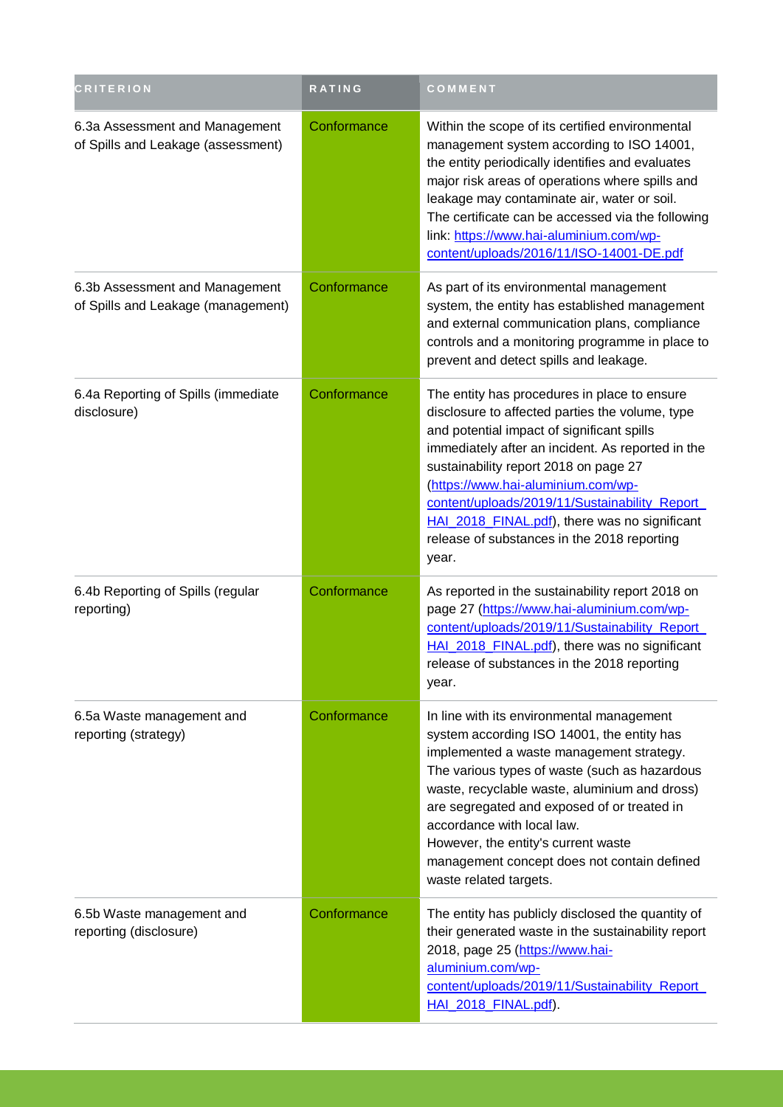| <b>CRITERION</b>                                                     | <b>RATING</b> | COMMENT                                                                                                                                                                                                                                                                                                                                                                                                                                     |  |
|----------------------------------------------------------------------|---------------|---------------------------------------------------------------------------------------------------------------------------------------------------------------------------------------------------------------------------------------------------------------------------------------------------------------------------------------------------------------------------------------------------------------------------------------------|--|
| 6.3a Assessment and Management<br>of Spills and Leakage (assessment) | Conformance   | Within the scope of its certified environmental<br>management system according to ISO 14001,<br>the entity periodically identifies and evaluates<br>major risk areas of operations where spills and<br>leakage may contaminate air, water or soil.<br>The certificate can be accessed via the following<br>link: https://www.hai-aluminium.com/wp-<br>content/uploads/2016/11/ISO-14001-DE.pdf                                              |  |
| 6.3b Assessment and Management<br>of Spills and Leakage (management) | Conformance   | As part of its environmental management<br>system, the entity has established management<br>and external communication plans, compliance<br>controls and a monitoring programme in place to<br>prevent and detect spills and leakage.                                                                                                                                                                                                       |  |
| 6.4a Reporting of Spills (immediate<br>disclosure)                   | Conformance   | The entity has procedures in place to ensure<br>disclosure to affected parties the volume, type<br>and potential impact of significant spills<br>immediately after an incident. As reported in the<br>sustainability report 2018 on page 27<br>(https://www.hai-aluminium.com/wp-<br>content/uploads/2019/11/Sustainability Report<br>HAI 2018 FINAL.pdf), there was no significant<br>release of substances in the 2018 reporting<br>year. |  |
| 6.4b Reporting of Spills (regular<br>reporting)                      | Conformance   | As reported in the sustainability report 2018 on<br>page 27 (https://www.hai-aluminium.com/wp-<br>content/uploads/2019/11/Sustainability Report<br>HAI 2018 FINAL.pdf), there was no significant<br>release of substances in the 2018 reporting<br>year.                                                                                                                                                                                    |  |
| 6.5a Waste management and<br>reporting (strategy)                    | Conformance   | In line with its environmental management<br>system according ISO 14001, the entity has<br>implemented a waste management strategy.<br>The various types of waste (such as hazardous<br>waste, recyclable waste, aluminium and dross)<br>are segregated and exposed of or treated in<br>accordance with local law.<br>However, the entity's current waste<br>management concept does not contain defined<br>waste related targets.          |  |
| 6.5b Waste management and<br>reporting (disclosure)                  | Conformance   | The entity has publicly disclosed the quantity of<br>their generated waste in the sustainability report<br>2018, page 25 (https://www.hai-<br>aluminium.com/wp-<br>content/uploads/2019/11/Sustainability Report<br>HAI 2018 FINAL.pdf).                                                                                                                                                                                                    |  |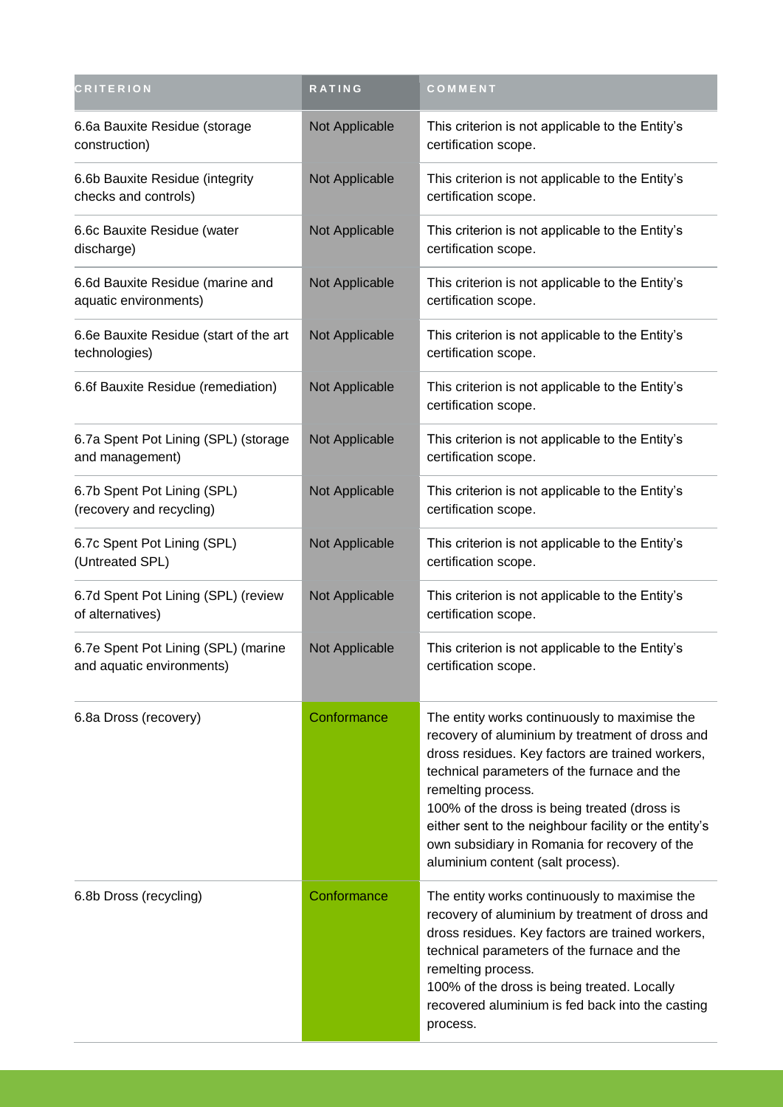| <b>CRITERION</b>                                                 | RATING         | COMMENT                                                                                                                                                                                                                                                                                                                                                                                                                  |
|------------------------------------------------------------------|----------------|--------------------------------------------------------------------------------------------------------------------------------------------------------------------------------------------------------------------------------------------------------------------------------------------------------------------------------------------------------------------------------------------------------------------------|
| 6.6a Bauxite Residue (storage<br>construction)                   | Not Applicable | This criterion is not applicable to the Entity's<br>certification scope.                                                                                                                                                                                                                                                                                                                                                 |
| 6.6b Bauxite Residue (integrity<br>checks and controls)          | Not Applicable | This criterion is not applicable to the Entity's<br>certification scope.                                                                                                                                                                                                                                                                                                                                                 |
| 6.6c Bauxite Residue (water<br>discharge)                        | Not Applicable | This criterion is not applicable to the Entity's<br>certification scope.                                                                                                                                                                                                                                                                                                                                                 |
| 6.6d Bauxite Residue (marine and<br>aquatic environments)        | Not Applicable | This criterion is not applicable to the Entity's<br>certification scope.                                                                                                                                                                                                                                                                                                                                                 |
| 6.6e Bauxite Residue (start of the art<br>technologies)          | Not Applicable | This criterion is not applicable to the Entity's<br>certification scope.                                                                                                                                                                                                                                                                                                                                                 |
| 6.6f Bauxite Residue (remediation)                               | Not Applicable | This criterion is not applicable to the Entity's<br>certification scope.                                                                                                                                                                                                                                                                                                                                                 |
| 6.7a Spent Pot Lining (SPL) (storage<br>and management)          | Not Applicable | This criterion is not applicable to the Entity's<br>certification scope.                                                                                                                                                                                                                                                                                                                                                 |
| 6.7b Spent Pot Lining (SPL)<br>(recovery and recycling)          | Not Applicable | This criterion is not applicable to the Entity's<br>certification scope.                                                                                                                                                                                                                                                                                                                                                 |
| 6.7c Spent Pot Lining (SPL)<br>(Untreated SPL)                   | Not Applicable | This criterion is not applicable to the Entity's<br>certification scope.                                                                                                                                                                                                                                                                                                                                                 |
| 6.7d Spent Pot Lining (SPL) (review<br>of alternatives)          | Not Applicable | This criterion is not applicable to the Entity's<br>certification scope.                                                                                                                                                                                                                                                                                                                                                 |
| 6.7e Spent Pot Lining (SPL) (marine<br>and aquatic environments) | Not Applicable | This criterion is not applicable to the Entity's<br>certification scope.                                                                                                                                                                                                                                                                                                                                                 |
| 6.8a Dross (recovery)                                            | Conformance    | The entity works continuously to maximise the<br>recovery of aluminium by treatment of dross and<br>dross residues. Key factors are trained workers,<br>technical parameters of the furnace and the<br>remelting process.<br>100% of the dross is being treated (dross is<br>either sent to the neighbour facility or the entity's<br>own subsidiary in Romania for recovery of the<br>aluminium content (salt process). |
| 6.8b Dross (recycling)                                           | Conformance    | The entity works continuously to maximise the<br>recovery of aluminium by treatment of dross and<br>dross residues. Key factors are trained workers,<br>technical parameters of the furnace and the<br>remelting process.<br>100% of the dross is being treated. Locally<br>recovered aluminium is fed back into the casting<br>process.                                                                                 |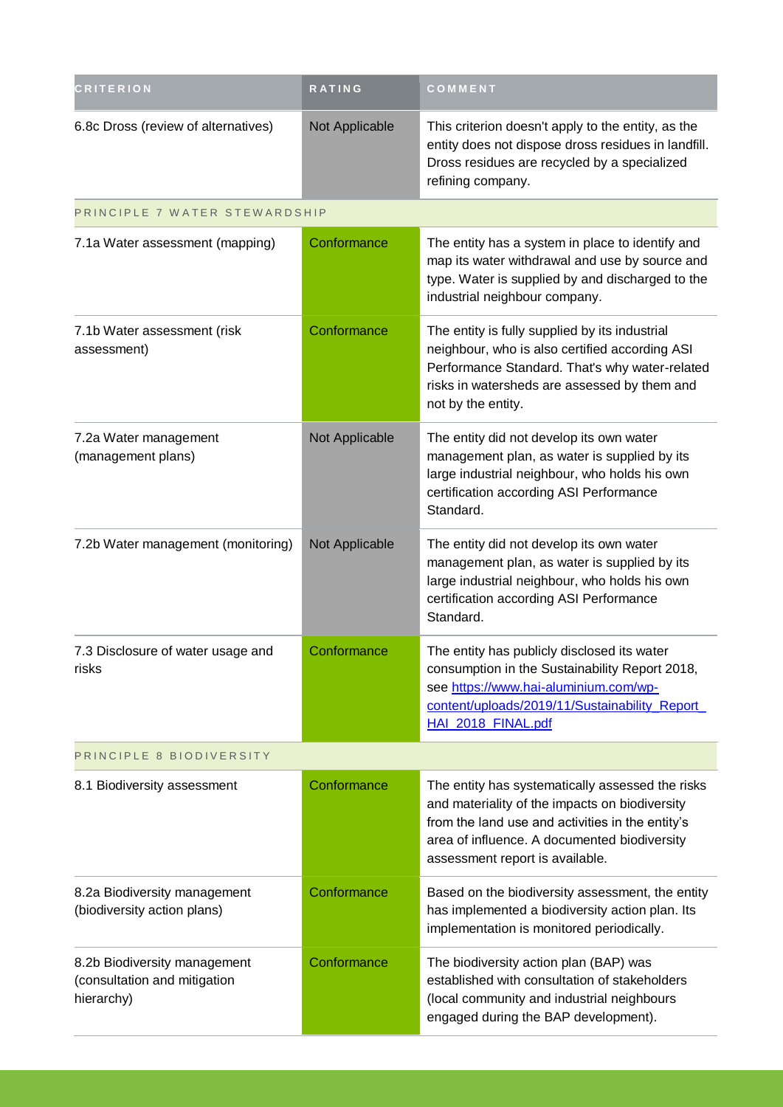| <b>CRITERION</b>                                                           | RATING         | COMMENT                                                                                                                                                                                                                                   |
|----------------------------------------------------------------------------|----------------|-------------------------------------------------------------------------------------------------------------------------------------------------------------------------------------------------------------------------------------------|
| 6.8c Dross (review of alternatives)                                        | Not Applicable | This criterion doesn't apply to the entity, as the<br>entity does not dispose dross residues in landfill.<br>Dross residues are recycled by a specialized<br>refining company.                                                            |
| PRINCIPLE 7 WATER STEWARDSHIP                                              |                |                                                                                                                                                                                                                                           |
| 7.1a Water assessment (mapping)                                            | Conformance    | The entity has a system in place to identify and<br>map its water withdrawal and use by source and<br>type. Water is supplied by and discharged to the<br>industrial neighbour company.                                                   |
| 7.1b Water assessment (risk<br>assessment)                                 | Conformance    | The entity is fully supplied by its industrial<br>neighbour, who is also certified according ASI<br>Performance Standard. That's why water-related<br>risks in watersheds are assessed by them and<br>not by the entity.                  |
| 7.2a Water management<br>(management plans)                                | Not Applicable | The entity did not develop its own water<br>management plan, as water is supplied by its<br>large industrial neighbour, who holds his own<br>certification according ASI Performance<br>Standard.                                         |
| 7.2b Water management (monitoring)                                         | Not Applicable | The entity did not develop its own water<br>management plan, as water is supplied by its<br>large industrial neighbour, who holds his own<br>certification according ASI Performance<br>Standard.                                         |
| 7.3 Disclosure of water usage and<br>risks                                 | Conformance    | The entity has publicly disclosed its water<br>consumption in the Sustainability Report 2018,<br>see https://www.hai-aluminium.com/wp-<br>content/uploads/2019/11/Sustainability Report<br>HAI 2018 FINAL.pdf                             |
| PRINCIPLE 8 BIODIVERSITY                                                   |                |                                                                                                                                                                                                                                           |
| 8.1 Biodiversity assessment                                                | Conformance    | The entity has systematically assessed the risks<br>and materiality of the impacts on biodiversity<br>from the land use and activities in the entity's<br>area of influence. A documented biodiversity<br>assessment report is available. |
| 8.2a Biodiversity management<br>(biodiversity action plans)                | Conformance    | Based on the biodiversity assessment, the entity<br>has implemented a biodiversity action plan. Its<br>implementation is monitored periodically.                                                                                          |
| 8.2b Biodiversity management<br>(consultation and mitigation<br>hierarchy) | Conformance    | The biodiversity action plan (BAP) was<br>established with consultation of stakeholders<br>(local community and industrial neighbours<br>engaged during the BAP development).                                                             |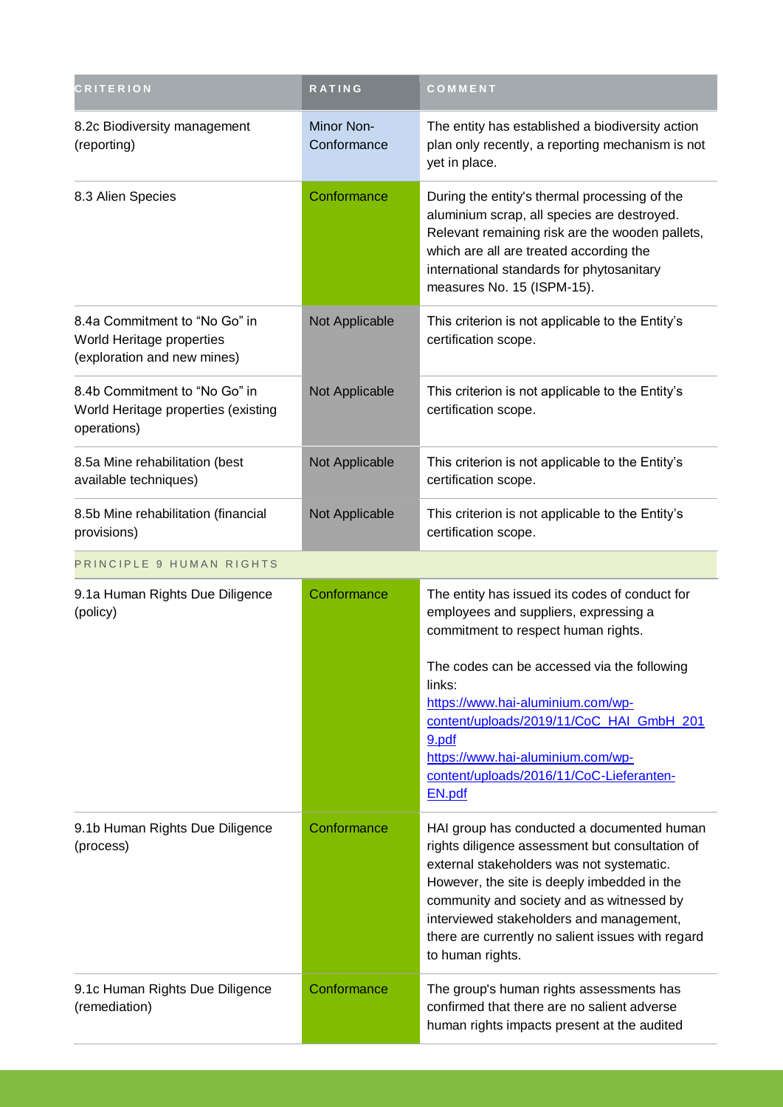| <b>CRITERION</b>                                                                          | <b>RATING</b>             | COMMENT                                                                                                                                                                                                                                                                                                                                                     |  |
|-------------------------------------------------------------------------------------------|---------------------------|-------------------------------------------------------------------------------------------------------------------------------------------------------------------------------------------------------------------------------------------------------------------------------------------------------------------------------------------------------------|--|
| 8.2c Biodiversity management<br>(reporting)                                               | Minor Non-<br>Conformance | The entity has established a biodiversity action<br>plan only recently, a reporting mechanism is not<br>yet in place.                                                                                                                                                                                                                                       |  |
| 8.3 Alien Species                                                                         | Conformance               | During the entity's thermal processing of the<br>aluminium scrap, all species are destroyed.<br>Relevant remaining risk are the wooden pallets,<br>which are all are treated according the<br>international standards for phytosanitary<br>measures No. 15 (ISPM-15).                                                                                       |  |
| 8.4a Commitment to "No Go" in<br>World Heritage properties<br>(exploration and new mines) | Not Applicable            | This criterion is not applicable to the Entity's<br>certification scope.                                                                                                                                                                                                                                                                                    |  |
| 8.4b Commitment to "No Go" in<br>World Heritage properties (existing<br>operations)       | Not Applicable            | This criterion is not applicable to the Entity's<br>certification scope.                                                                                                                                                                                                                                                                                    |  |
| 8.5a Mine rehabilitation (best<br>available techniques)                                   | Not Applicable            | This criterion is not applicable to the Entity's<br>certification scope.                                                                                                                                                                                                                                                                                    |  |
| 8.5b Mine rehabilitation (financial<br>provisions)                                        | Not Applicable            | This criterion is not applicable to the Entity's<br>certification scope.                                                                                                                                                                                                                                                                                    |  |
| PRINCIPLE 9 HUMAN RIGHTS                                                                  |                           |                                                                                                                                                                                                                                                                                                                                                             |  |
| 9.1a Human Rights Due Diligence<br>(policy)                                               | Conformance               | The entity has issued its codes of conduct for<br>employees and suppliers, expressing a<br>commitment to respect human rights.<br>The codes can be accessed via the following<br>links:<br>https://www.hai-aluminium.com/wp-<br>content/uploads/2019/11/CoC HAI GmbH 201<br>9.pdf<br>https://www.hai-aluminium.com/wp-                                      |  |
|                                                                                           |                           | content/uploads/2016/11/CoC-Lieferanten-<br>EN.pdf                                                                                                                                                                                                                                                                                                          |  |
| 9.1b Human Rights Due Diligence<br>(process)                                              | Conformance               | HAI group has conducted a documented human<br>rights diligence assessment but consultation of<br>external stakeholders was not systematic.<br>However, the site is deeply imbedded in the<br>community and society and as witnessed by<br>interviewed stakeholders and management,<br>there are currently no salient issues with regard<br>to human rights. |  |
| 9.1c Human Rights Due Diligence<br>(remediation)                                          | Conformance               | The group's human rights assessments has<br>confirmed that there are no salient adverse<br>human rights impacts present at the audited                                                                                                                                                                                                                      |  |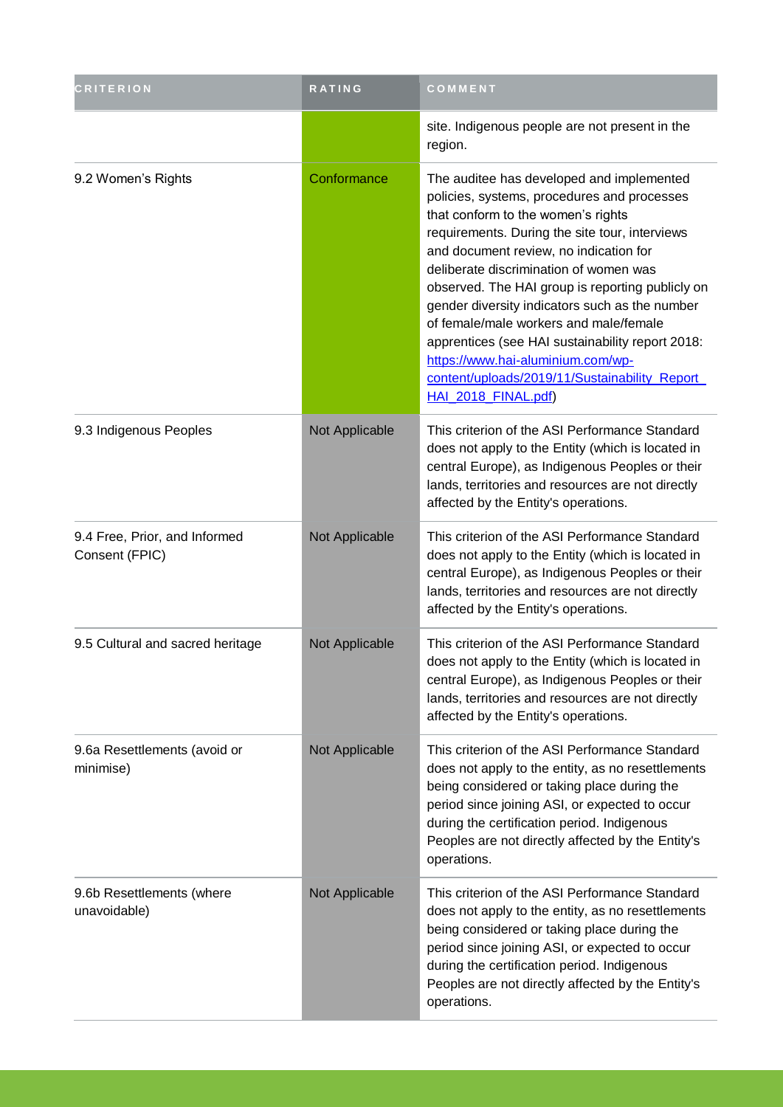| <b>CRITERION</b>                                | <b>RATING</b>  | COMMENT                                                                                                                                                                                                                                                                                                                                                                                                                                                                                                                                                                                |
|-------------------------------------------------|----------------|----------------------------------------------------------------------------------------------------------------------------------------------------------------------------------------------------------------------------------------------------------------------------------------------------------------------------------------------------------------------------------------------------------------------------------------------------------------------------------------------------------------------------------------------------------------------------------------|
|                                                 |                | site. Indigenous people are not present in the<br>region.                                                                                                                                                                                                                                                                                                                                                                                                                                                                                                                              |
| 9.2 Women's Rights                              | Conformance    | The auditee has developed and implemented<br>policies, systems, procedures and processes<br>that conform to the women's rights<br>requirements. During the site tour, interviews<br>and document review, no indication for<br>deliberate discrimination of women was<br>observed. The HAI group is reporting publicly on<br>gender diversity indicators such as the number<br>of female/male workers and male/female<br>apprentices (see HAI sustainability report 2018:<br>https://www.hai-aluminium.com/wp-<br>content/uploads/2019/11/Sustainability_Report_<br>HAI 2018 FINAL.pdf) |
| 9.3 Indigenous Peoples                          | Not Applicable | This criterion of the ASI Performance Standard<br>does not apply to the Entity (which is located in<br>central Europe), as Indigenous Peoples or their<br>lands, territories and resources are not directly<br>affected by the Entity's operations.                                                                                                                                                                                                                                                                                                                                    |
| 9.4 Free, Prior, and Informed<br>Consent (FPIC) | Not Applicable | This criterion of the ASI Performance Standard<br>does not apply to the Entity (which is located in<br>central Europe), as Indigenous Peoples or their<br>lands, territories and resources are not directly<br>affected by the Entity's operations.                                                                                                                                                                                                                                                                                                                                    |
| 9.5 Cultural and sacred heritage                | Not Applicable | This criterion of the ASI Performance Standard<br>does not apply to the Entity (which is located in<br>central Europe), as Indigenous Peoples or their<br>lands, territories and resources are not directly<br>affected by the Entity's operations.                                                                                                                                                                                                                                                                                                                                    |
| 9.6a Resettlements (avoid or<br>minimise)       | Not Applicable | This criterion of the ASI Performance Standard<br>does not apply to the entity, as no resettlements<br>being considered or taking place during the<br>period since joining ASI, or expected to occur<br>during the certification period. Indigenous<br>Peoples are not directly affected by the Entity's<br>operations.                                                                                                                                                                                                                                                                |
| 9.6b Resettlements (where<br>unavoidable)       | Not Applicable | This criterion of the ASI Performance Standard<br>does not apply to the entity, as no resettlements<br>being considered or taking place during the<br>period since joining ASI, or expected to occur<br>during the certification period. Indigenous<br>Peoples are not directly affected by the Entity's<br>operations.                                                                                                                                                                                                                                                                |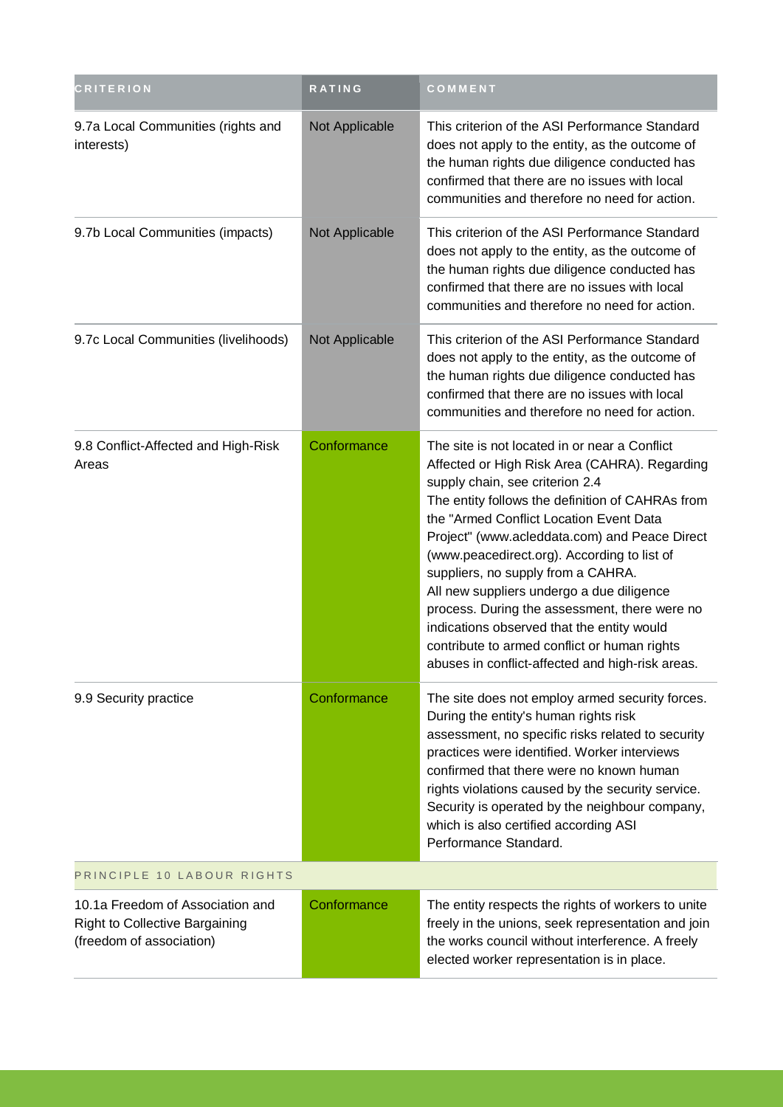| <b>CRITERION</b>                                                                               | <b>RATING</b>  | COMMENT                                                                                                                                                                                                                                                                                                                                                                                                                                                                                                                                                                                                                |
|------------------------------------------------------------------------------------------------|----------------|------------------------------------------------------------------------------------------------------------------------------------------------------------------------------------------------------------------------------------------------------------------------------------------------------------------------------------------------------------------------------------------------------------------------------------------------------------------------------------------------------------------------------------------------------------------------------------------------------------------------|
| 9.7a Local Communities (rights and<br>interests)                                               | Not Applicable | This criterion of the ASI Performance Standard<br>does not apply to the entity, as the outcome of<br>the human rights due diligence conducted has<br>confirmed that there are no issues with local<br>communities and therefore no need for action.                                                                                                                                                                                                                                                                                                                                                                    |
| 9.7b Local Communities (impacts)                                                               | Not Applicable | This criterion of the ASI Performance Standard<br>does not apply to the entity, as the outcome of<br>the human rights due diligence conducted has<br>confirmed that there are no issues with local<br>communities and therefore no need for action.                                                                                                                                                                                                                                                                                                                                                                    |
| 9.7c Local Communities (livelihoods)                                                           | Not Applicable | This criterion of the ASI Performance Standard<br>does not apply to the entity, as the outcome of<br>the human rights due diligence conducted has<br>confirmed that there are no issues with local<br>communities and therefore no need for action.                                                                                                                                                                                                                                                                                                                                                                    |
| 9.8 Conflict-Affected and High-Risk<br>Areas                                                   | Conformance    | The site is not located in or near a Conflict<br>Affected or High Risk Area (CAHRA). Regarding<br>supply chain, see criterion 2.4<br>The entity follows the definition of CAHRAs from<br>the "Armed Conflict Location Event Data<br>Project" (www.acleddata.com) and Peace Direct<br>(www.peacedirect.org). According to list of<br>suppliers, no supply from a CAHRA.<br>All new suppliers undergo a due diligence<br>process. During the assessment, there were no<br>indications observed that the entity would<br>contribute to armed conflict or human rights<br>abuses in conflict-affected and high-risk areas. |
| 9.9 Security practice                                                                          | Conformance    | The site does not employ armed security forces.<br>During the entity's human rights risk<br>assessment, no specific risks related to security<br>practices were identified. Worker interviews<br>confirmed that there were no known human<br>rights violations caused by the security service.<br>Security is operated by the neighbour company,<br>which is also certified according ASI<br>Performance Standard.                                                                                                                                                                                                     |
| PRINCIPLE 10 LABOUR RIGHTS                                                                     |                |                                                                                                                                                                                                                                                                                                                                                                                                                                                                                                                                                                                                                        |
| 10.1a Freedom of Association and<br>Right to Collective Bargaining<br>(freedom of association) | Conformance    | The entity respects the rights of workers to unite<br>freely in the unions, seek representation and join<br>the works council without interference. A freely<br>elected worker representation is in place.                                                                                                                                                                                                                                                                                                                                                                                                             |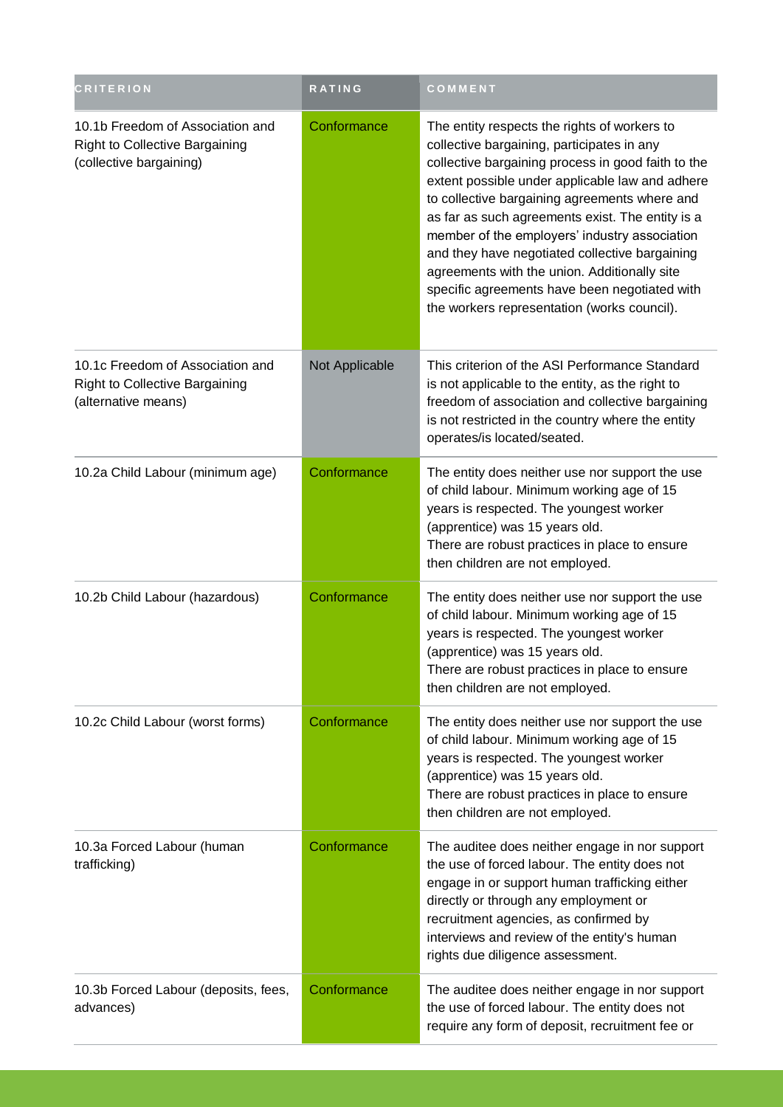| <b>CRITERION</b>                                                                                 | <b>RATING</b>  | COMMENT                                                                                                                                                                                                                                                                                                                                                                                                                                                                                                                                                     |
|--------------------------------------------------------------------------------------------------|----------------|-------------------------------------------------------------------------------------------------------------------------------------------------------------------------------------------------------------------------------------------------------------------------------------------------------------------------------------------------------------------------------------------------------------------------------------------------------------------------------------------------------------------------------------------------------------|
| 10.1b Freedom of Association and<br>Right to Collective Bargaining<br>(collective bargaining)    | Conformance    | The entity respects the rights of workers to<br>collective bargaining, participates in any<br>collective bargaining process in good faith to the<br>extent possible under applicable law and adhere<br>to collective bargaining agreements where and<br>as far as such agreements exist. The entity is a<br>member of the employers' industry association<br>and they have negotiated collective bargaining<br>agreements with the union. Additionally site<br>specific agreements have been negotiated with<br>the workers representation (works council). |
| 10.1c Freedom of Association and<br><b>Right to Collective Bargaining</b><br>(alternative means) | Not Applicable | This criterion of the ASI Performance Standard<br>is not applicable to the entity, as the right to<br>freedom of association and collective bargaining<br>is not restricted in the country where the entity<br>operates/is located/seated.                                                                                                                                                                                                                                                                                                                  |
| 10.2a Child Labour (minimum age)                                                                 | Conformance    | The entity does neither use nor support the use<br>of child labour. Minimum working age of 15<br>years is respected. The youngest worker<br>(apprentice) was 15 years old.<br>There are robust practices in place to ensure<br>then children are not employed.                                                                                                                                                                                                                                                                                              |
| 10.2b Child Labour (hazardous)                                                                   | Conformance    | The entity does neither use nor support the use<br>of child labour. Minimum working age of 15<br>years is respected. The youngest worker<br>(apprentice) was 15 years old.<br>There are robust practices in place to ensure<br>then children are not employed.                                                                                                                                                                                                                                                                                              |
| 10.2c Child Labour (worst forms)                                                                 | Conformance    | The entity does neither use nor support the use<br>of child labour. Minimum working age of 15<br>years is respected. The youngest worker<br>(apprentice) was 15 years old.<br>There are robust practices in place to ensure<br>then children are not employed.                                                                                                                                                                                                                                                                                              |
| 10.3a Forced Labour (human<br>trafficking)                                                       | Conformance    | The auditee does neither engage in nor support<br>the use of forced labour. The entity does not<br>engage in or support human trafficking either<br>directly or through any employment or<br>recruitment agencies, as confirmed by<br>interviews and review of the entity's human<br>rights due diligence assessment.                                                                                                                                                                                                                                       |
| 10.3b Forced Labour (deposits, fees,<br>advances)                                                | Conformance    | The auditee does neither engage in nor support<br>the use of forced labour. The entity does not<br>require any form of deposit, recruitment fee or                                                                                                                                                                                                                                                                                                                                                                                                          |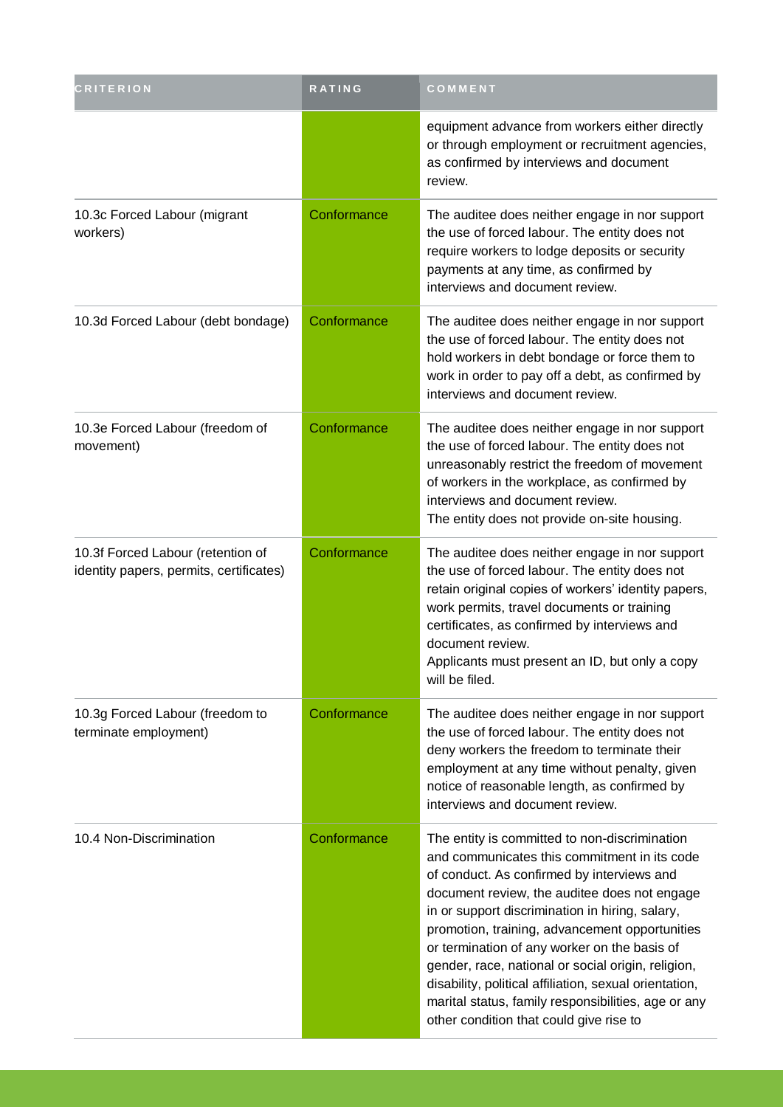| <b>CRITERION</b>                                                             | <b>RATING</b> | COMMENT                                                                                                                                                                                                                                                                                                                                                                                                                                                                                                                                                            |
|------------------------------------------------------------------------------|---------------|--------------------------------------------------------------------------------------------------------------------------------------------------------------------------------------------------------------------------------------------------------------------------------------------------------------------------------------------------------------------------------------------------------------------------------------------------------------------------------------------------------------------------------------------------------------------|
|                                                                              |               | equipment advance from workers either directly<br>or through employment or recruitment agencies,<br>as confirmed by interviews and document<br>review.                                                                                                                                                                                                                                                                                                                                                                                                             |
| 10.3c Forced Labour (migrant<br>workers)                                     | Conformance   | The auditee does neither engage in nor support<br>the use of forced labour. The entity does not<br>require workers to lodge deposits or security<br>payments at any time, as confirmed by<br>interviews and document review.                                                                                                                                                                                                                                                                                                                                       |
| 10.3d Forced Labour (debt bondage)                                           | Conformance   | The auditee does neither engage in nor support<br>the use of forced labour. The entity does not<br>hold workers in debt bondage or force them to<br>work in order to pay off a debt, as confirmed by<br>interviews and document review.                                                                                                                                                                                                                                                                                                                            |
| 10.3e Forced Labour (freedom of<br>movement)                                 | Conformance   | The auditee does neither engage in nor support<br>the use of forced labour. The entity does not<br>unreasonably restrict the freedom of movement<br>of workers in the workplace, as confirmed by<br>interviews and document review.<br>The entity does not provide on-site housing.                                                                                                                                                                                                                                                                                |
| 10.3f Forced Labour (retention of<br>identity papers, permits, certificates) | Conformance   | The auditee does neither engage in nor support<br>the use of forced labour. The entity does not<br>retain original copies of workers' identity papers,<br>work permits, travel documents or training<br>certificates, as confirmed by interviews and<br>document review.<br>Applicants must present an ID, but only a copy<br>will be filed.                                                                                                                                                                                                                       |
| 10.3g Forced Labour (freedom to<br>terminate employment)                     | Conformance   | The auditee does neither engage in nor support<br>the use of forced labour. The entity does not<br>deny workers the freedom to terminate their<br>employment at any time without penalty, given<br>notice of reasonable length, as confirmed by<br>interviews and document review.                                                                                                                                                                                                                                                                                 |
| 10.4 Non-Discrimination                                                      | Conformance   | The entity is committed to non-discrimination<br>and communicates this commitment in its code<br>of conduct. As confirmed by interviews and<br>document review, the auditee does not engage<br>in or support discrimination in hiring, salary,<br>promotion, training, advancement opportunities<br>or termination of any worker on the basis of<br>gender, race, national or social origin, religion,<br>disability, political affiliation, sexual orientation,<br>marital status, family responsibilities, age or any<br>other condition that could give rise to |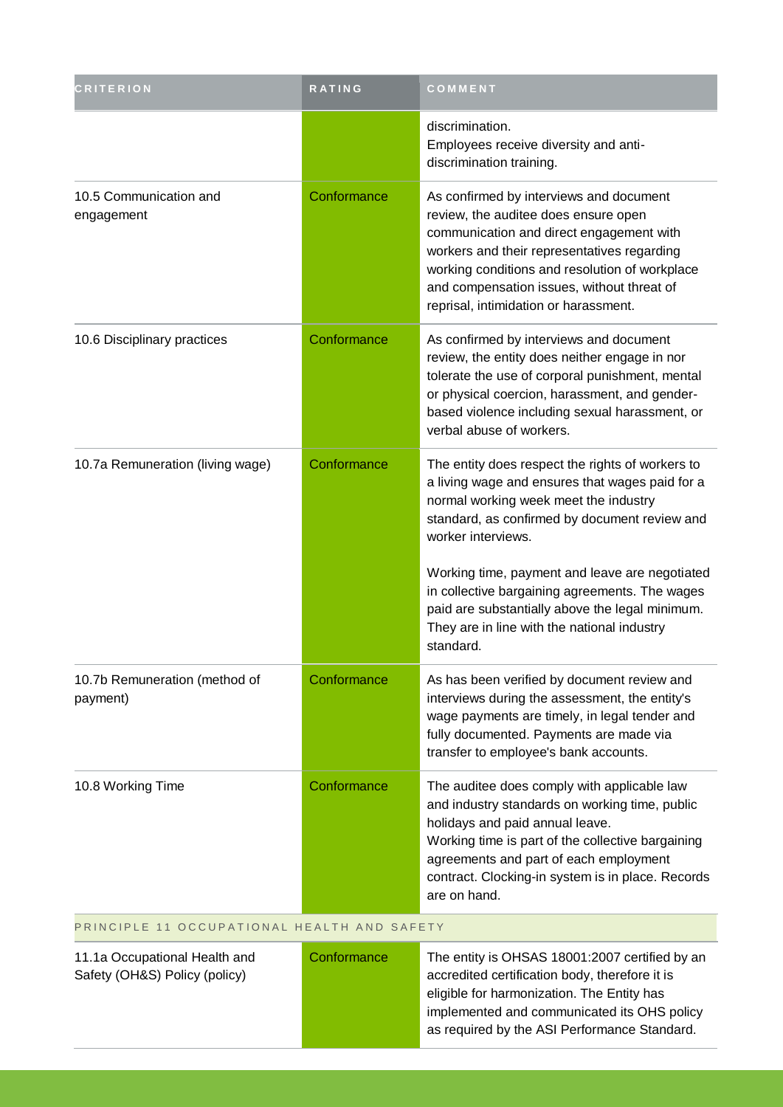| <b>CRITERION</b>                          | <b>RATING</b> | COMMENT                                                                                                                                                                                                                                                                                                             |
|-------------------------------------------|---------------|---------------------------------------------------------------------------------------------------------------------------------------------------------------------------------------------------------------------------------------------------------------------------------------------------------------------|
|                                           |               | discrimination.<br>Employees receive diversity and anti-<br>discrimination training.                                                                                                                                                                                                                                |
| 10.5 Communication and<br>engagement      | Conformance   | As confirmed by interviews and document<br>review, the auditee does ensure open<br>communication and direct engagement with<br>workers and their representatives regarding<br>working conditions and resolution of workplace<br>and compensation issues, without threat of<br>reprisal, intimidation or harassment. |
| 10.6 Disciplinary practices               | Conformance   | As confirmed by interviews and document<br>review, the entity does neither engage in nor<br>tolerate the use of corporal punishment, mental<br>or physical coercion, harassment, and gender-<br>based violence including sexual harassment, or<br>verbal abuse of workers.                                          |
| 10.7a Remuneration (living wage)          | Conformance   | The entity does respect the rights of workers to<br>a living wage and ensures that wages paid for a<br>normal working week meet the industry<br>standard, as confirmed by document review and<br>worker interviews.                                                                                                 |
|                                           |               | Working time, payment and leave are negotiated<br>in collective bargaining agreements. The wages<br>paid are substantially above the legal minimum.<br>They are in line with the national industry<br>standard.                                                                                                     |
| 10.7b Remuneration (method of<br>payment) | Conformance   | As has been verified by document review and<br>interviews during the assessment, the entity's<br>wage payments are timely, in legal tender and<br>fully documented. Payments are made via<br>transfer to employee's bank accounts.                                                                                  |
| 10.8 Working Time                         | Conformance   | The auditee does comply with applicable law<br>and industry standards on working time, public<br>holidays and paid annual leave.<br>Working time is part of the collective bargaining<br>agreements and part of each employment<br>contract. Clocking-in system is in place. Records<br>are on hand.                |

#### PRINCIPLE 11 OCCUPATIONAL HEALTH AND SAFETY

11.1a Occupational Health and Safety (OH&S) Policy (policy)

Conformance The entity is OHSAS 18001:2007 certified by an accredited certification body, therefore it is eligible for harmonization. The Entity has implemented and communicated its OHS policy as required by the ASI Performance Standard.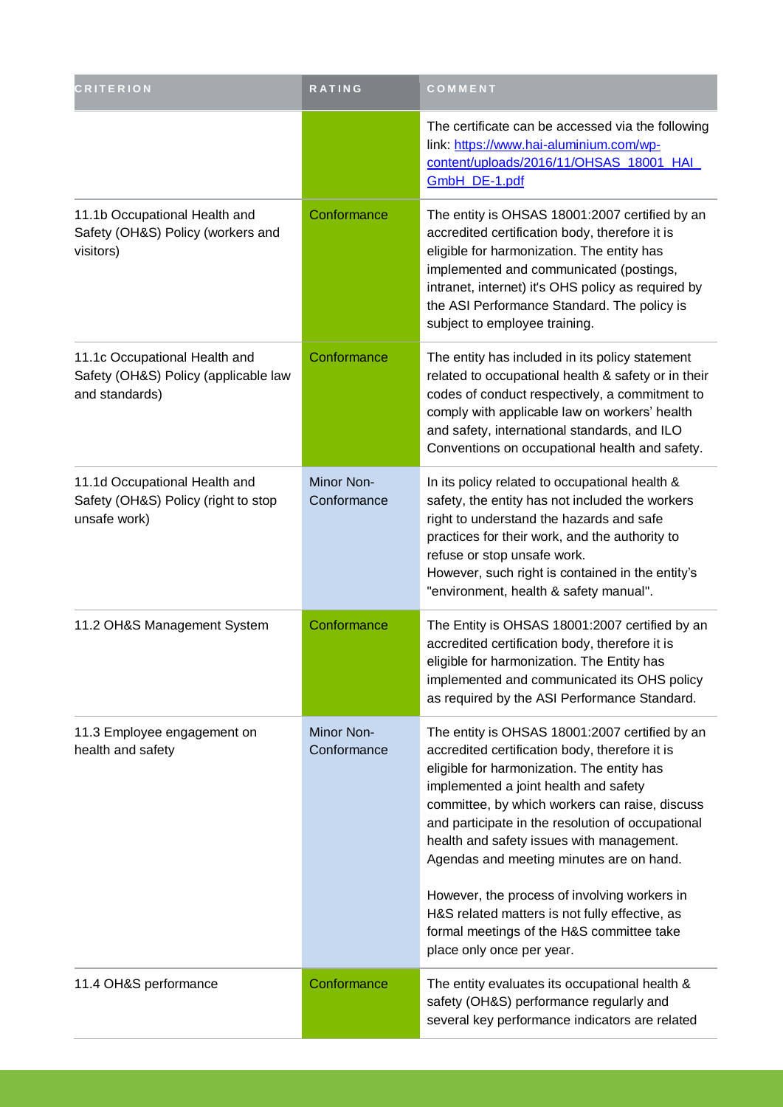| <b>CRITERION</b>                                                                        | <b>RATING</b>             | COMMENT                                                                                                                                                                                                                                                                                                                                                                                 |
|-----------------------------------------------------------------------------------------|---------------------------|-----------------------------------------------------------------------------------------------------------------------------------------------------------------------------------------------------------------------------------------------------------------------------------------------------------------------------------------------------------------------------------------|
|                                                                                         |                           | The certificate can be accessed via the following<br>link: https://www.hai-aluminium.com/wp-<br>content/uploads/2016/11/OHSAS_18001_HAI_<br>GmbH DE-1.pdf                                                                                                                                                                                                                               |
| 11.1b Occupational Health and<br>Safety (OH&S) Policy (workers and<br>visitors)         | Conformance               | The entity is OHSAS 18001:2007 certified by an<br>accredited certification body, therefore it is<br>eligible for harmonization. The entity has<br>implemented and communicated (postings,<br>intranet, internet) it's OHS policy as required by<br>the ASI Performance Standard. The policy is<br>subject to employee training.                                                         |
| 11.1c Occupational Health and<br>Safety (OH&S) Policy (applicable law<br>and standards) | Conformance               | The entity has included in its policy statement<br>related to occupational health & safety or in their<br>codes of conduct respectively, a commitment to<br>comply with applicable law on workers' health<br>and safety, international standards, and ILO<br>Conventions on occupational health and safety.                                                                             |
| 11.1d Occupational Health and<br>Safety (OH&S) Policy (right to stop<br>unsafe work)    | Minor Non-<br>Conformance | In its policy related to occupational health &<br>safety, the entity has not included the workers<br>right to understand the hazards and safe<br>practices for their work, and the authority to<br>refuse or stop unsafe work.<br>However, such right is contained in the entity's<br>"environment, health & safety manual".                                                            |
| 11.2 OH&S Management System                                                             | Conformance               | The Entity is OHSAS 18001:2007 certified by an<br>accredited certification body, therefore it is<br>eligible for harmonization. The Entity has<br>implemented and communicated its OHS policy<br>as required by the ASI Performance Standard.                                                                                                                                           |
| 11.3 Employee engagement on<br>health and safety                                        | Minor Non-<br>Conformance | The entity is OHSAS 18001:2007 certified by an<br>accredited certification body, therefore it is<br>eligible for harmonization. The entity has<br>implemented a joint health and safety<br>committee, by which workers can raise, discuss<br>and participate in the resolution of occupational<br>health and safety issues with management.<br>Agendas and meeting minutes are on hand. |
|                                                                                         |                           | However, the process of involving workers in<br>H&S related matters is not fully effective, as<br>formal meetings of the H&S committee take<br>place only once per year.                                                                                                                                                                                                                |
| 11.4 OH&S performance                                                                   | Conformance               | The entity evaluates its occupational health &<br>safety (OH&S) performance regularly and<br>several key performance indicators are related                                                                                                                                                                                                                                             |